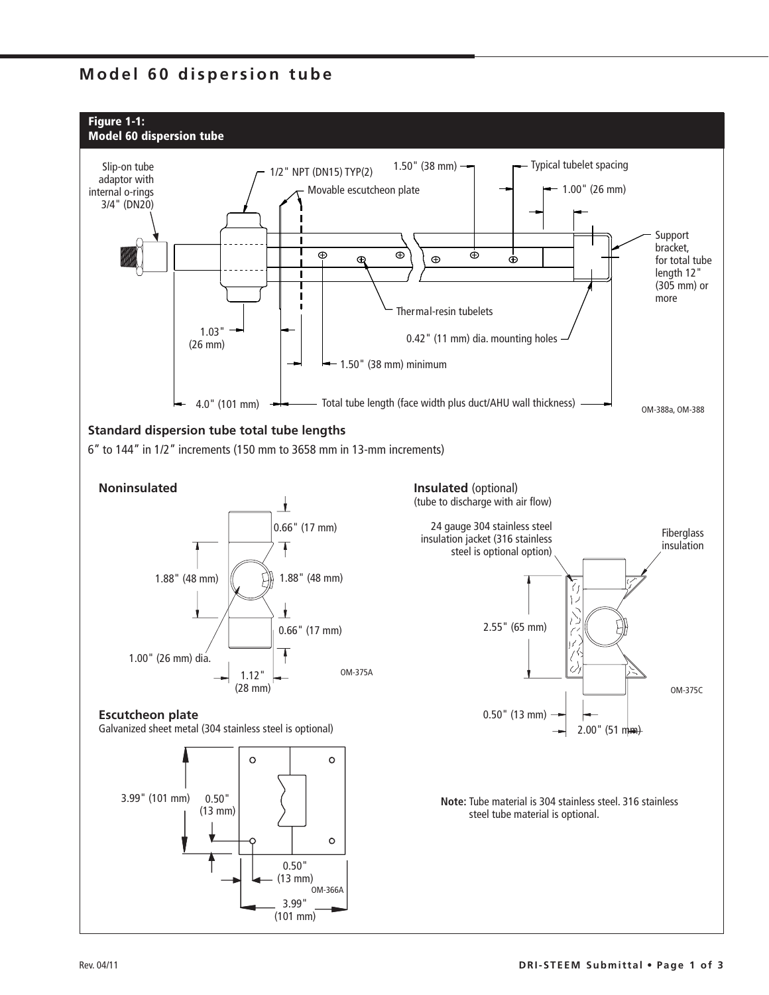## **Model 60 dispersion tube**

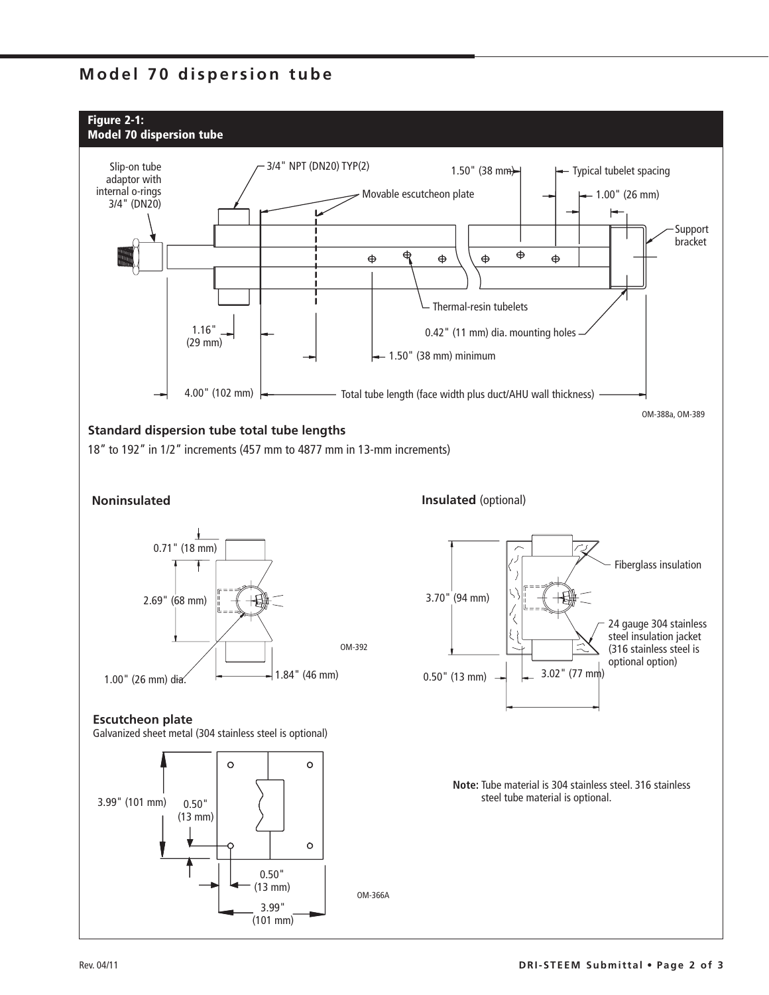## **Model 70 dispersion tube**